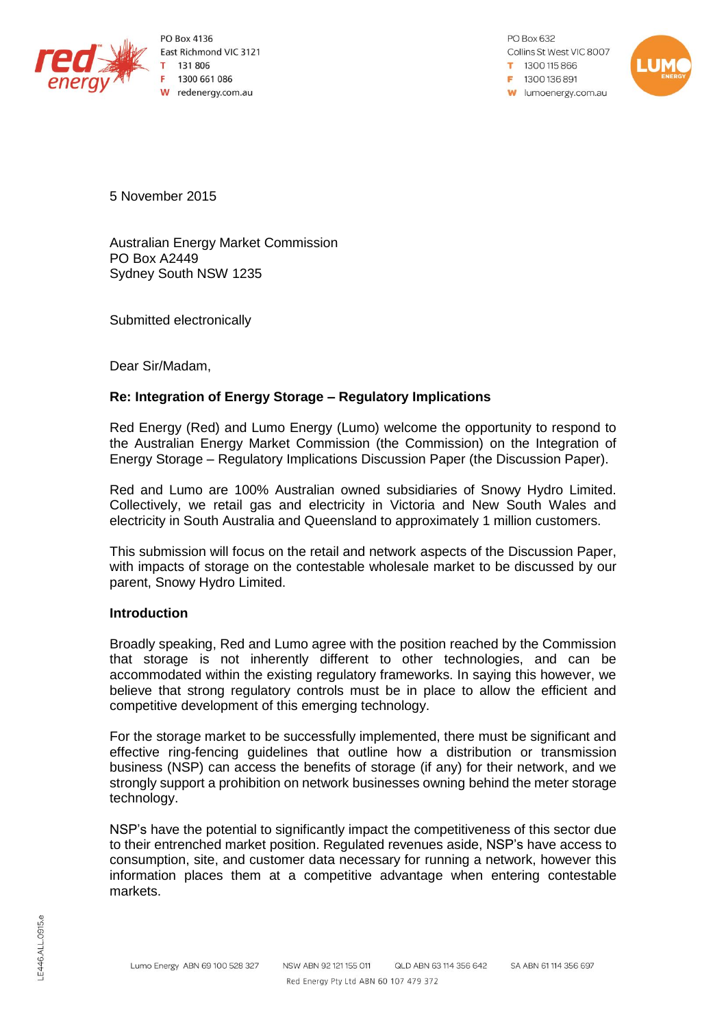

PO Box 4136 East Richmond VIC 3121 131 806 1300 661 086 W redenergy.com.au

PO Box 632 Collins St West VIC 8007 1300115866 F 1300 136 891 **W** lumoenergy.com.au



5 November 2015

Australian Energy Market Commission PO Box A2449 Sydney South NSW 1235

Submitted electronically

Dear Sir/Madam,

### **Re: Integration of Energy Storage – Regulatory Implications**

Red Energy (Red) and Lumo Energy (Lumo) welcome the opportunity to respond to the Australian Energy Market Commission (the Commission) on the Integration of Energy Storage – Regulatory Implications Discussion Paper (the Discussion Paper).

Red and Lumo are 100% Australian owned subsidiaries of Snowy Hydro Limited. Collectively, we retail gas and electricity in Victoria and New South Wales and electricity in South Australia and Queensland to approximately 1 million customers.

This submission will focus on the retail and network aspects of the Discussion Paper, with impacts of storage on the contestable wholesale market to be discussed by our parent, Snowy Hydro Limited.

#### **Introduction**

Broadly speaking, Red and Lumo agree with the position reached by the Commission that storage is not inherently different to other technologies, and can be accommodated within the existing regulatory frameworks. In saying this however, we believe that strong regulatory controls must be in place to allow the efficient and competitive development of this emerging technology.

For the storage market to be successfully implemented, there must be significant and effective ring-fencing guidelines that outline how a distribution or transmission business (NSP) can access the benefits of storage (if any) for their network, and we strongly support a prohibition on network businesses owning behind the meter storage technology.

NSP's have the potential to significantly impact the competitiveness of this sector due to their entrenched market position. Regulated revenues aside, NSP's have access to consumption, site, and customer data necessary for running a network, however this information places them at a competitive advantage when entering contestable markets.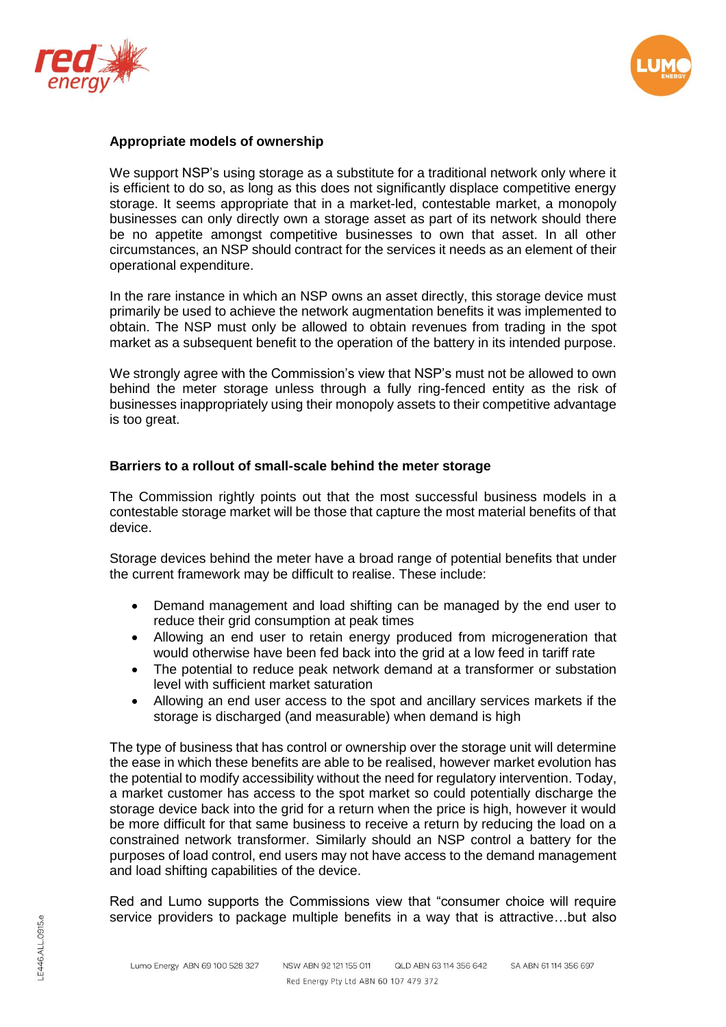



### **Appropriate models of ownership**

We support NSP's using storage as a substitute for a traditional network only where it is efficient to do so, as long as this does not significantly displace competitive energy storage. It seems appropriate that in a market-led, contestable market, a monopoly businesses can only directly own a storage asset as part of its network should there be no appetite amongst competitive businesses to own that asset. In all other circumstances, an NSP should contract for the services it needs as an element of their operational expenditure.

In the rare instance in which an NSP owns an asset directly, this storage device must primarily be used to achieve the network augmentation benefits it was implemented to obtain. The NSP must only be allowed to obtain revenues from trading in the spot market as a subsequent benefit to the operation of the battery in its intended purpose.

We strongly agree with the Commission's view that NSP's must not be allowed to own behind the meter storage unless through a fully ring-fenced entity as the risk of businesses inappropriately using their monopoly assets to their competitive advantage is too great.

#### **Barriers to a rollout of small-scale behind the meter storage**

The Commission rightly points out that the most successful business models in a contestable storage market will be those that capture the most material benefits of that device.

Storage devices behind the meter have a broad range of potential benefits that under the current framework may be difficult to realise. These include:

- Demand management and load shifting can be managed by the end user to reduce their grid consumption at peak times
- Allowing an end user to retain energy produced from microgeneration that would otherwise have been fed back into the grid at a low feed in tariff rate
- The potential to reduce peak network demand at a transformer or substation level with sufficient market saturation
- Allowing an end user access to the spot and ancillary services markets if the storage is discharged (and measurable) when demand is high

The type of business that has control or ownership over the storage unit will determine the ease in which these benefits are able to be realised, however market evolution has the potential to modify accessibility without the need for regulatory intervention. Today, a market customer has access to the spot market so could potentially discharge the storage device back into the grid for a return when the price is high, however it would be more difficult for that same business to receive a return by reducing the load on a constrained network transformer. Similarly should an NSP control a battery for the purposes of load control, end users may not have access to the demand management and load shifting capabilities of the device.

Red and Lumo supports the Commissions view that "consumer choice will require service providers to package multiple benefits in a way that is attractive…but also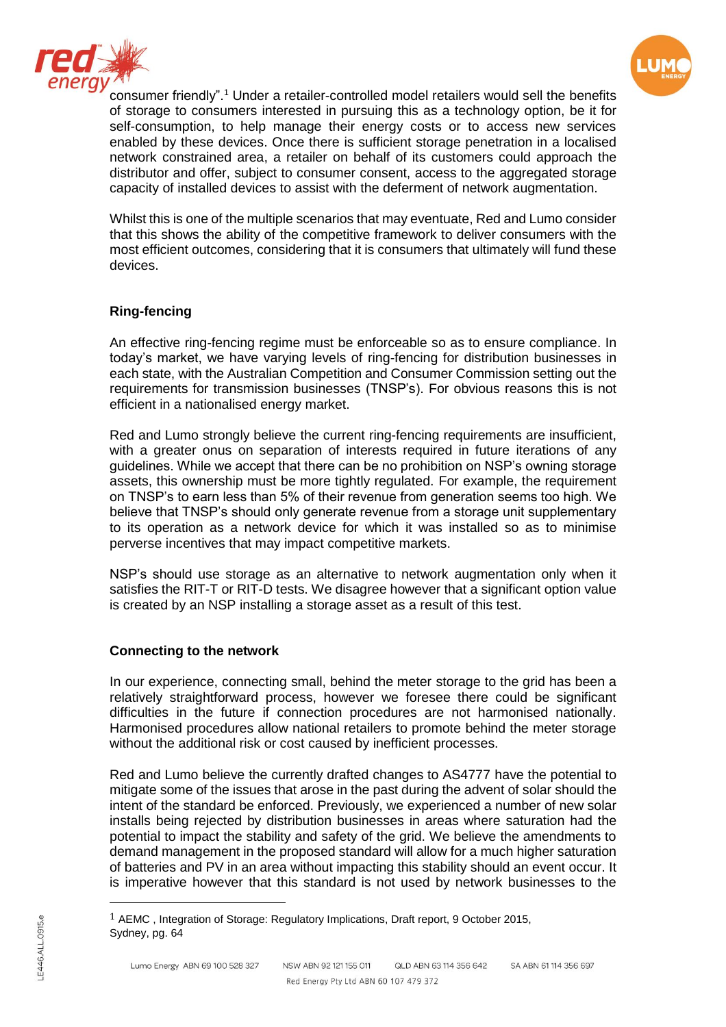



consumer friendly".<sup>1</sup> Under a retailer-controlled model retailers would sell the benefits of storage to consumers interested in pursuing this as a technology option, be it for self-consumption, to help manage their energy costs or to access new services enabled by these devices. Once there is sufficient storage penetration in a localised network constrained area, a retailer on behalf of its customers could approach the distributor and offer, subject to consumer consent, access to the aggregated storage capacity of installed devices to assist with the deferment of network augmentation.

Whilst this is one of the multiple scenarios that may eventuate, Red and Lumo consider that this shows the ability of the competitive framework to deliver consumers with the most efficient outcomes, considering that it is consumers that ultimately will fund these devices.

# **Ring-fencing**

An effective ring-fencing regime must be enforceable so as to ensure compliance. In today's market, we have varying levels of ring-fencing for distribution businesses in each state, with the Australian Competition and Consumer Commission setting out the requirements for transmission businesses (TNSP's). For obvious reasons this is not efficient in a nationalised energy market.

Red and Lumo strongly believe the current ring-fencing requirements are insufficient, with a greater onus on separation of interests required in future iterations of any guidelines. While we accept that there can be no prohibition on NSP's owning storage assets, this ownership must be more tightly regulated. For example, the requirement on TNSP's to earn less than 5% of their revenue from generation seems too high. We believe that TNSP's should only generate revenue from a storage unit supplementary to its operation as a network device for which it was installed so as to minimise perverse incentives that may impact competitive markets.

NSP's should use storage as an alternative to network augmentation only when it satisfies the RIT-T or RIT-D tests. We disagree however that a significant option value is created by an NSP installing a storage asset as a result of this test.

# **Connecting to the network**

In our experience, connecting small, behind the meter storage to the grid has been a relatively straightforward process, however we foresee there could be significant difficulties in the future if connection procedures are not harmonised nationally. Harmonised procedures allow national retailers to promote behind the meter storage without the additional risk or cost caused by inefficient processes.

Red and Lumo believe the currently drafted changes to AS4777 have the potential to mitigate some of the issues that arose in the past during the advent of solar should the intent of the standard be enforced. Previously, we experienced a number of new solar installs being rejected by distribution businesses in areas where saturation had the potential to impact the stability and safety of the grid. We believe the amendments to demand management in the proposed standard will allow for a much higher saturation of batteries and PV in an area without impacting this stability should an event occur. It is imperative however that this standard is not used by network businesses to the

 $\overline{a}$ 

 $1$  AEMC, Integration of Storage: Regulatory Implications, Draft report, 9 October 2015, Sydney, pg. 64